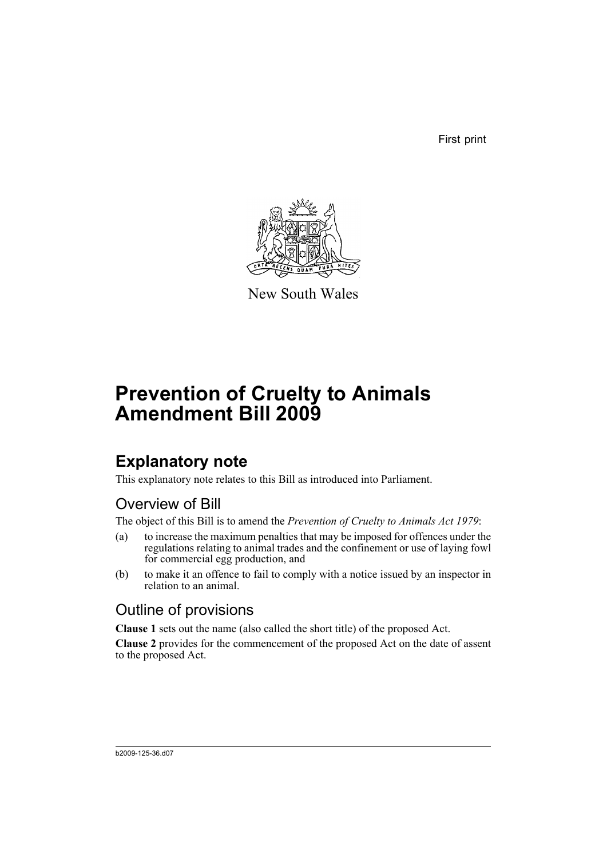First print



New South Wales

# **Prevention of Cruelty to Animals Amendment Bill 2009**

## **Explanatory note**

This explanatory note relates to this Bill as introduced into Parliament.

## Overview of Bill

The object of this Bill is to amend the *Prevention of Cruelty to Animals Act 1979*:

- (a) to increase the maximum penalties that may be imposed for offences under the regulations relating to animal trades and the confinement or use of laying fowl for commercial egg production, and
- (b) to make it an offence to fail to comply with a notice issued by an inspector in relation to an animal.

### Outline of provisions

**Clause 1** sets out the name (also called the short title) of the proposed Act.

**Clause 2** provides for the commencement of the proposed Act on the date of assent to the proposed Act.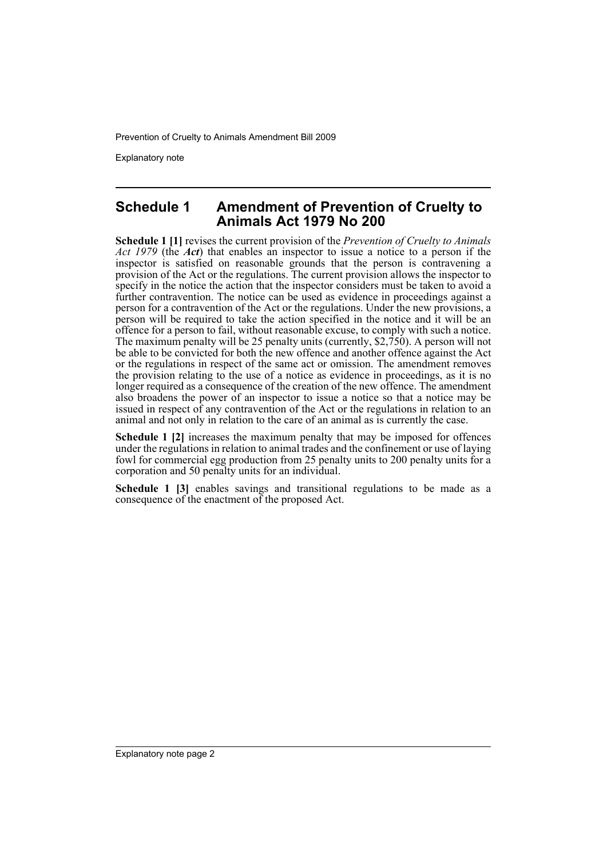Prevention of Cruelty to Animals Amendment Bill 2009

Explanatory note

#### **Schedule 1 Amendment of Prevention of Cruelty to Animals Act 1979 No 200**

**Schedule 1 [1]** revises the current provision of the *Prevention of Cruelty to Animals Act 1979* (the *Act*) that enables an inspector to issue a notice to a person if the inspector is satisfied on reasonable grounds that the person is contravening a provision of the Act or the regulations. The current provision allows the inspector to specify in the notice the action that the inspector considers must be taken to avoid a further contravention. The notice can be used as evidence in proceedings against a person for a contravention of the Act or the regulations. Under the new provisions, a person will be required to take the action specified in the notice and it will be an offence for a person to fail, without reasonable excuse, to comply with such a notice. The maximum penalty will be 25 penalty units (currently, \$2,750). A person will not be able to be convicted for both the new offence and another offence against the Act or the regulations in respect of the same act or omission. The amendment removes the provision relating to the use of a notice as evidence in proceedings, as it is no longer required as a consequence of the creation of the new offence. The amendment also broadens the power of an inspector to issue a notice so that a notice may be issued in respect of any contravention of the Act or the regulations in relation to an animal and not only in relation to the care of an animal as is currently the case.

**Schedule 1 [2]** increases the maximum penalty that may be imposed for offences under the regulations in relation to animal trades and the confinement or use of laying fowl for commercial egg production from 25 penalty units to 200 penalty units for a corporation and 50 penalty units for an individual.

**Schedule 1 [3]** enables savings and transitional regulations to be made as a consequence of the enactment of the proposed Act.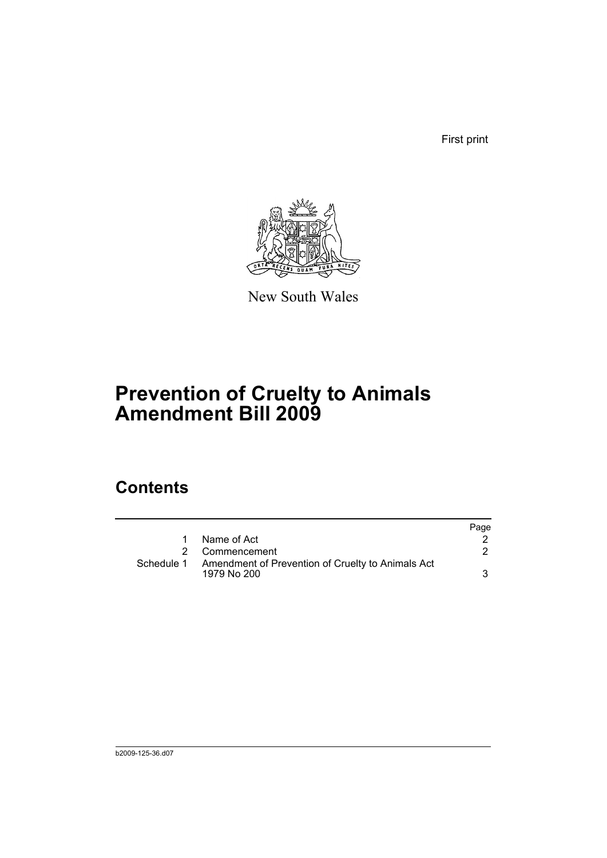First print



New South Wales

# **Prevention of Cruelty to Animals Amendment Bill 2009**

## **Contents**

|            |                                                                  | Page |
|------------|------------------------------------------------------------------|------|
| 1          | Name of Act                                                      |      |
|            | 2 Commencement                                                   |      |
| Schedule 1 | Amendment of Prevention of Cruelty to Animals Act<br>1979 No 200 |      |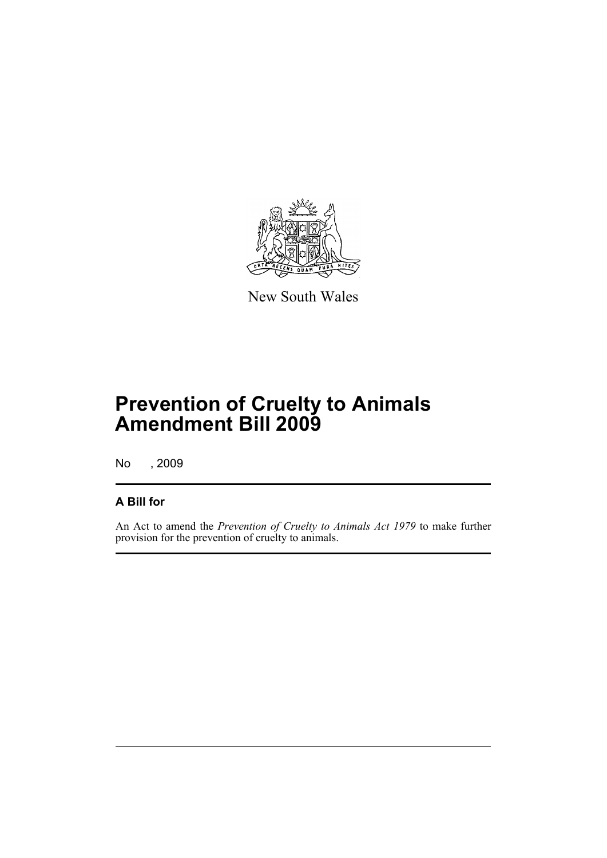

New South Wales

# **Prevention of Cruelty to Animals Amendment Bill 2009**

No , 2009

#### **A Bill for**

An Act to amend the *Prevention of Cruelty to Animals Act 1979* to make further provision for the prevention of cruelty to animals.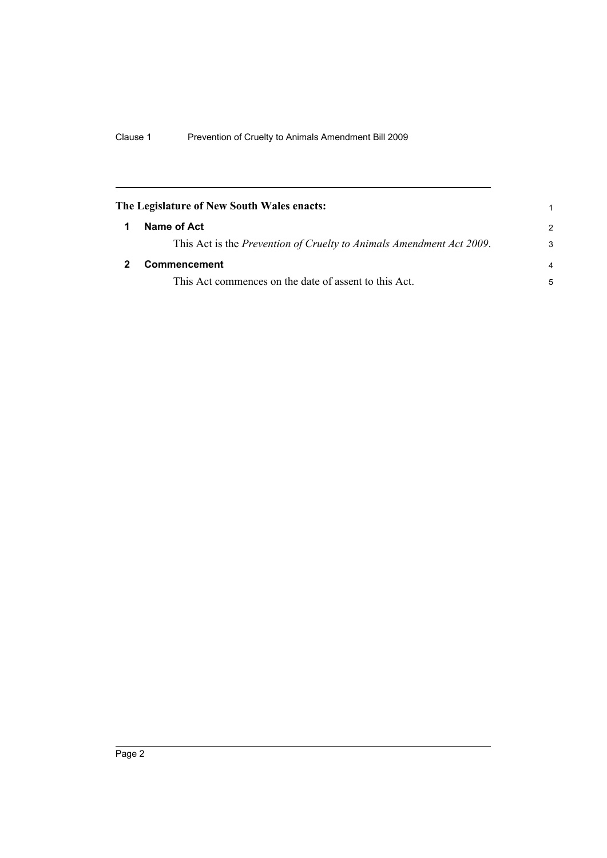<span id="page-5-1"></span><span id="page-5-0"></span>

| The Legislature of New South Wales enacts: |                                                                      | 1             |
|--------------------------------------------|----------------------------------------------------------------------|---------------|
|                                            | Name of Act                                                          | $\mathcal{P}$ |
|                                            | This Act is the Prevention of Cruelty to Animals Amendment Act 2009. | 3             |
|                                            | Commencement                                                         | 4             |
|                                            | This Act commences on the date of assent to this Act.                | 5             |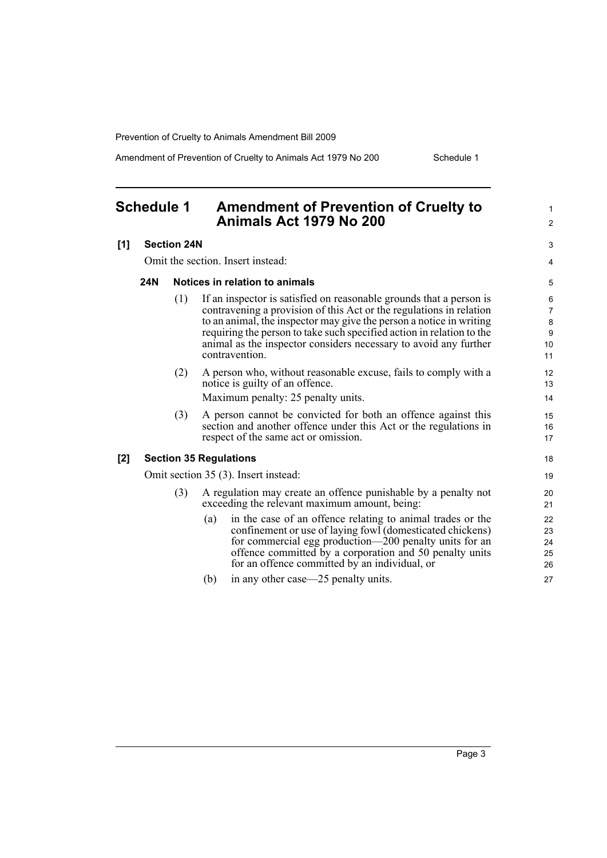Prevention of Cruelty to Animals Amendment Bill 2009

Amendment of Prevention of Cruelty to Animals Act 1979 No 200 Schedule 1

#### <span id="page-6-0"></span>**Schedule 1 Amendment of Prevention of Cruelty to Animals Act 1979 No 200 [1] Section 24N** Omit the section. Insert instead: **24N Notices in relation to animals** (1) If an inspector is satisfied on reasonable grounds that a person is contravening a provision of this Act or the regulations in relation to an animal, the inspector may give the person a notice in writing requiring the person to take such specified action in relation to the animal as the inspector considers necessary to avoid any further contravention. (2) A person who, without reasonable excuse, fails to comply with a notice is guilty of an offence. Maximum penalty: 25 penalty units. (3) A person cannot be convicted for both an offence against this section and another offence under this Act or the regulations in respect of the same act or omission. **[2] Section 35 Regulations** Omit section 35 (3). Insert instead: (3) A regulation may create an offence punishable by a penalty not exceeding the relevant maximum amount, being: (a) in the case of an offence relating to animal trades or the confinement or use of laying fowl (domesticated chickens) for commercial egg production—200 penalty units for an offence committed by a corporation and 50 penalty units for an offence committed by an individual, or (b) in any other case—25 penalty units. 1  $\mathfrak{p}$  $\overline{a}$ 4 5 6 7  $\Omega$  $\overline{Q}$  $10$ 11 12 13 14 15 16 17 18 19 20 21 22 23  $24$ 25 26 27